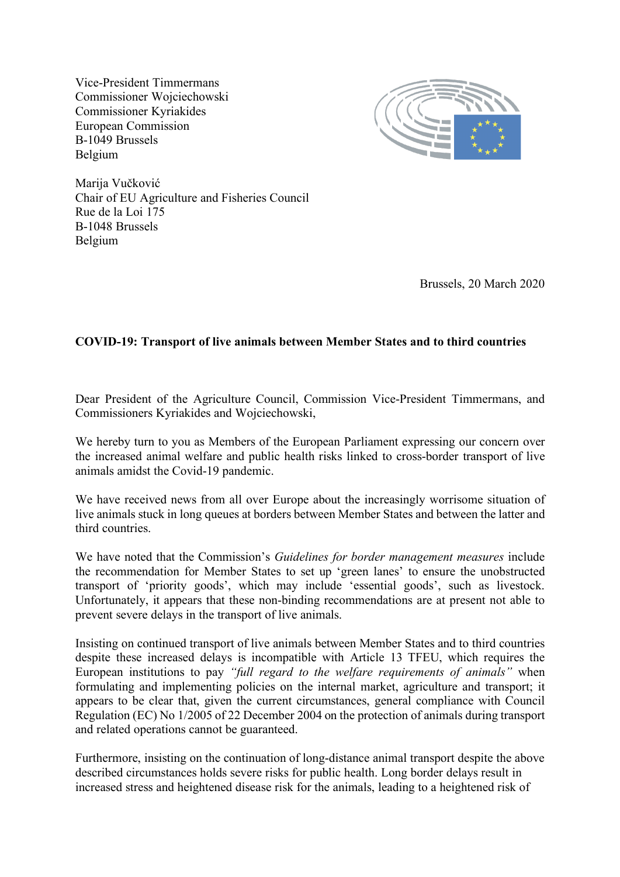Vice-President Timmermans Commissioner Wojciechowski Commissioner Kyriakides European Commission B-1049 Brussels Belgium



Marija Vučković Chair of EU Agriculture and Fisheries Council Rue de la Loi 175 B-1048 Brussels Belgium

Brussels, 20 March 2020

## **COVID-19: Transport of live animals between Member States and to third countries**

Dear President of the Agriculture Council, Commission Vice-President Timmermans, and Commissioners Kyriakides and Wojciechowski,

We hereby turn to you as Members of the European Parliament expressing our concern over the increased animal welfare and public health risks linked to cross-border transport of live animals amidst the Covid-19 pandemic.

We have received news from all over Europe about the increasingly worrisome situation of live animals stuck in long queues at borders between Member States and between the latter and third countries.

We have noted that the Commission's *Guidelines for border management measures* include the recommendation for Member States to set up 'green lanes' to ensure the unobstructed transport of 'priority goods', which may include 'essential goods', such as livestock. Unfortunately, it appears that these non-binding recommendations are at present not able to prevent severe delays in the transport of live animals.

Insisting on continued transport of live animals between Member States and to third countries despite these increased delays is incompatible with Article 13 TFEU, which requires the European institutions to pay *"full regard to the welfare requirements of animals"* when formulating and implementing policies on the internal market, agriculture and transport; it appears to be clear that, given the current circumstances, general compliance with Council Regulation (EC) No 1/2005 of 22 December 2004 on the protection of animals during transport and related operations cannot be guaranteed.

Furthermore, insisting on the continuation of long-distance animal transport despite the above described circumstances holds severe risks for public health. Long border delays result in increased stress and heightened disease risk for the animals, leading to a heightened risk of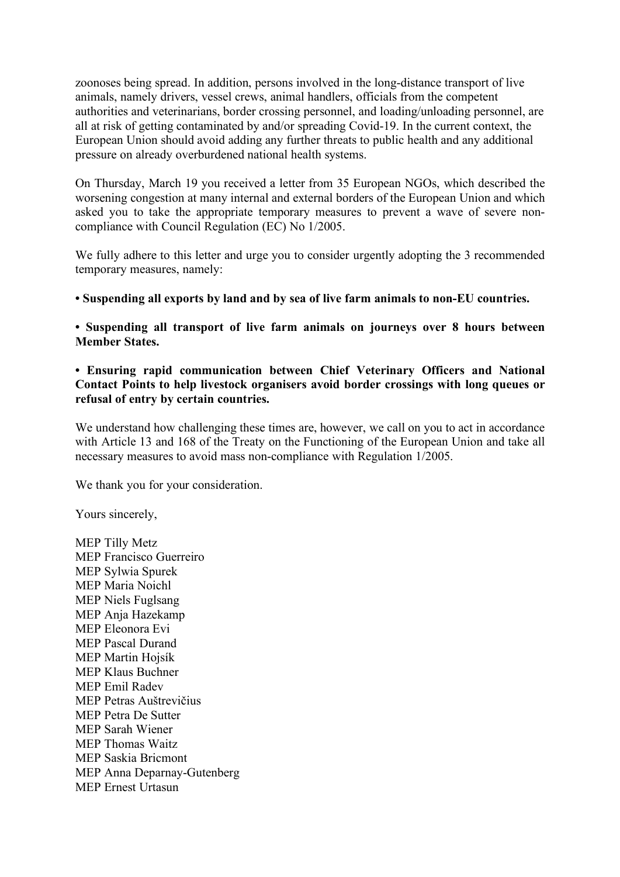zoonoses being spread. In addition, persons involved in the long-distance transport of live animals, namely drivers, vessel crews, animal handlers, officials from the competent authorities and veterinarians, border crossing personnel, and loading/unloading personnel, are all at risk of getting contaminated by and/or spreading Covid-19. In the current context, the European Union should avoid adding any further threats to public health and any additional pressure on already overburdened national health systems.

On Thursday, March 19 you received a letter from 35 European NGOs, which described the worsening congestion at many internal and external borders of the European Union and which asked you to take the appropriate temporary measures to prevent a wave of severe noncompliance with Council Regulation (EC) No 1/2005.

We fully adhere to this letter and urge you to consider urgently adopting the 3 recommended temporary measures, namely:

**• Suspending all exports by land and by sea of live farm animals to non-EU countries.** 

**• Suspending all transport of live farm animals on journeys over 8 hours between Member States.**

**• Ensuring rapid communication between Chief Veterinary Officers and National Contact Points to help livestock organisers avoid border crossings with long queues or refusal of entry by certain countries.**

We understand how challenging these times are, however, we call on you to act in accordance with Article 13 and 168 of the Treaty on the Functioning of the European Union and take all necessary measures to avoid mass non-compliance with Regulation 1/2005.

We thank you for your consideration.

Yours sincerely,

MEP Tilly Metz MEP Francisco Guerreiro MEP Sylwia Spurek MEP Maria Noichl MEP Niels Fuglsang MEP Anja Hazekamp MEP Eleonora Evi MEP Pascal Durand MEP Martin Hojsík MEP Klaus Buchner MEP Emil Radev MEP Petras Auštrevičius MEP Petra De Sutter MEP Sarah Wiener MEP Thomas Waitz MEP Saskia Bricmont MEP Anna Deparnay-Gutenberg MEP Ernest Urtasun